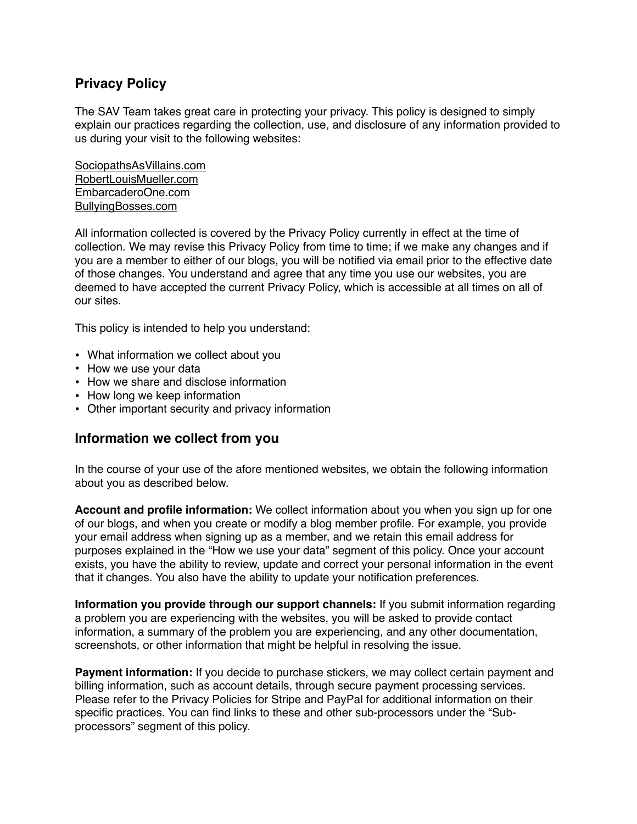# **Privacy Policy**

The SAV Team takes great care in protecting your privacy. This policy is designed to simply explain our practices regarding the collection, use, and disclosure of any information provided to us during your visit to the following websites:

[SociopathsAsVillains.com](http://SociopathsAsVillains.com) [RobertLouisMueller.com](http://RobertLouisMueller.com) [EmbarcaderoOne.com](http://EmbarcaderoOne.com) [BullyingBosses.com](http://BullyingBosses.com)

All information collected is covered by the Privacy Policy currently in effect at the time of collection. We may revise this Privacy Policy from time to time; if we make any changes and if you are a member to either of our blogs, you will be notified via email prior to the effective date of those changes. You understand and agree that any time you use our websites, you are deemed to have accepted the current Privacy Policy, which is accessible at all times on all of our sites.

This policy is intended to help you understand:

- What information we collect about you
- How we use your data
- How we share and disclose information
- How long we keep information
- Other important security and privacy information

### **Information we collect from you**

In the course of your use of the afore mentioned websites, we obtain the following information about you as described below.

**Account and profile information:** We collect information about you when you sign up for one of our blogs, and when you create or modify a blog member profile. For example, you provide your email address when signing up as a member, and we retain this email address for purposes explained in the "How we use your data" segment of this policy. Once your account exists, you have the ability to review, update and correct your personal information in the event that it changes. You also have the ability to update your notification preferences.

**Information you provide through our support channels:** If you submit information regarding a problem you are experiencing with the websites, you will be asked to provide contact information, a summary of the problem you are experiencing, and any other documentation, screenshots, or other information that might be helpful in resolving the issue.

**Payment information:** If you decide to purchase stickers, we may collect certain payment and billing information, such as account details, through secure payment processing services. Please refer to the Privacy Policies for Stripe and PayPal for additional information on their specific practices. You can find links to these and other sub-processors under the "Subprocessors" segment of this policy.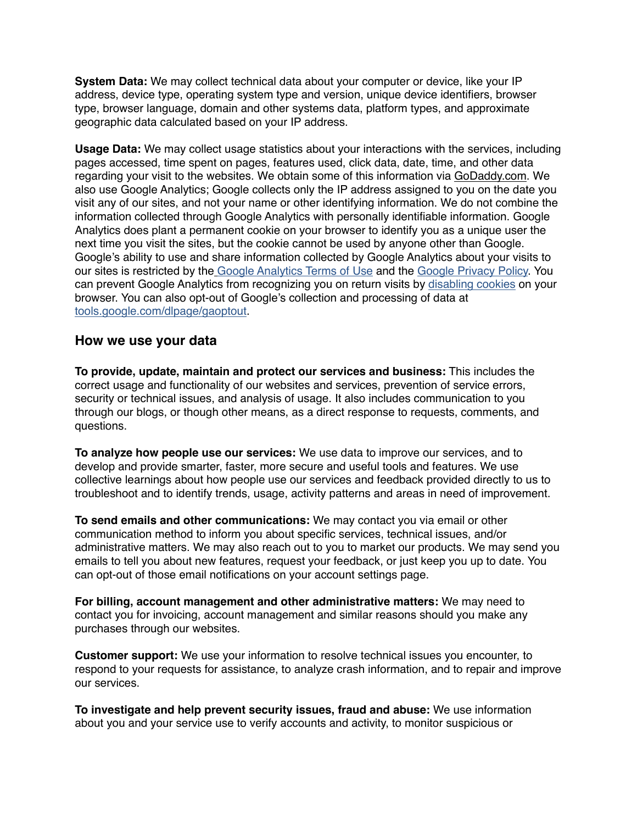**System Data:** We may collect technical data about your computer or device, like your IP address, device type, operating system type and version, unique device identifiers, browser type, browser language, domain and other systems data, platform types, and approximate geographic data calculated based on your IP address.

**Usage Data:** We may collect usage statistics about your interactions with the services, including pages accessed, time spent on pages, features used, click data, date, time, and other data regarding your visit to the websites. We obtain some of this information via [GoDaddy.com](http://GoDaddy.com). We also use Google Analytics; Google collects only the IP address assigned to you on the date you visit any of our sites, and not your name or other identifying information. We do not combine the information collected through Google Analytics with personally identifiable information. Google Analytics does plant a permanent cookie on your browser to identify you as a unique user the next time you visit the sites, but the cookie cannot be used by anyone other than Google. Google's ability to use and share information collected by Google Analytics about your visits to our sites is restricted by the [Google Analytics Terms of Use](http://www.google.com/analytics/tos.html) and the [Google Privacy Policy.](http://www.google.com/privacypolicy.html) You can prevent Google Analytics from recognizing you on return visits by [disabling cookies](http://www.usa.gov/optout_instructions.shtml) on your browser. You can also opt-out of Google's collection and processing of data at [tools.google.com/dlpage/gaoptout](http://tools.google.com/dlpage/gaoptout).

#### **How we use your data**

**To provide, update, maintain and protect our services and business:** This includes the correct usage and functionality of our websites and services, prevention of service errors, security or technical issues, and analysis of usage. It also includes communication to you through our blogs, or though other means, as a direct response to requests, comments, and questions.

**To analyze how people use our services:** We use data to improve our services, and to develop and provide smarter, faster, more secure and useful tools and features. We use collective learnings about how people use our services and feedback provided directly to us to troubleshoot and to identify trends, usage, activity patterns and areas in need of improvement.

**To send emails and other communications:** We may contact you via email or other communication method to inform you about specific services, technical issues, and/or administrative matters. We may also reach out to you to market our products. We may send you emails to tell you about new features, request your feedback, or just keep you up to date. You can opt-out of those email notifications on your account settings page.

**For billing, account management and other administrative matters:** We may need to contact you for invoicing, account management and similar reasons should you make any purchases through our websites.

**Customer support:** We use your information to resolve technical issues you encounter, to respond to your requests for assistance, to analyze crash information, and to repair and improve our services.

**To investigate and help prevent security issues, fraud and abuse:** We use information about you and your service use to verify accounts and activity, to monitor suspicious or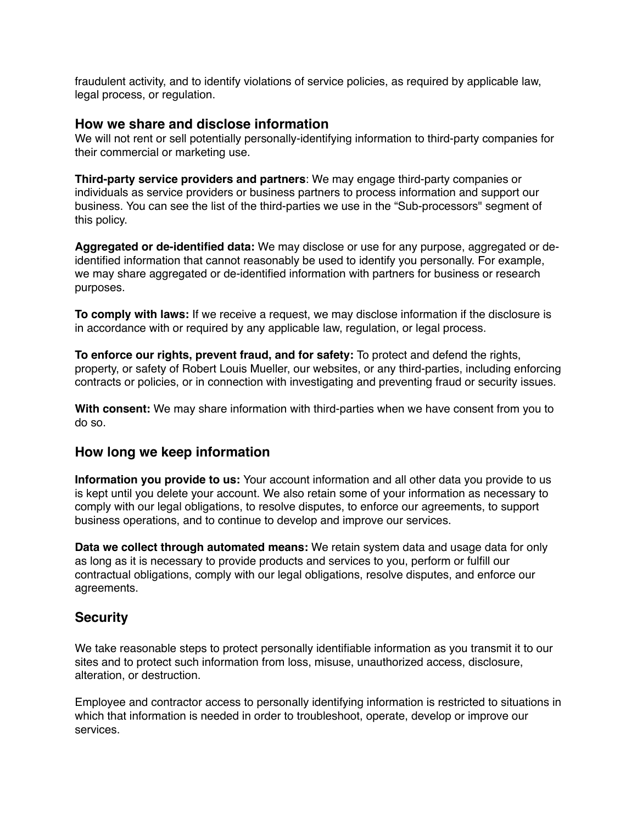fraudulent activity, and to identify violations of service policies, as required by applicable law, legal process, or regulation.

#### **How we share and disclose information**

We will not rent or sell potentially personally-identifying information to third-party companies for their commercial or marketing use.

**Third-party service providers and partners**: We may engage third-party companies or individuals as service providers or business partners to process information and support our business. You can see the list of the third-parties we use in the "Sub-processors" segment of this policy.

**Aggregated or de-identified data:** We may disclose or use for any purpose, aggregated or deidentified information that cannot reasonably be used to identify you personally. For example, we may share aggregated or de-identified information with partners for business or research purposes.

**To comply with laws:** If we receive a request, we may disclose information if the disclosure is in accordance with or required by any applicable law, regulation, or legal process.

**To enforce our rights, prevent fraud, and for safety:** To protect and defend the rights, property, or safety of Robert Louis Mueller, our websites, or any third-parties, including enforcing contracts or policies, or in connection with investigating and preventing fraud or security issues.

**With consent:** We may share information with third-parties when we have consent from you to do so.

### **How long we keep information**

**Information you provide to us:** Your account information and all other data you provide to us is kept until you delete your account. We also retain some of your information as necessary to comply with our legal obligations, to resolve disputes, to enforce our agreements, to support business operations, and to continue to develop and improve our services.

**Data we collect through automated means:** We retain system data and usage data for only as long as it is necessary to provide products and services to you, perform or fulfill our contractual obligations, comply with our legal obligations, resolve disputes, and enforce our agreements.

# **Security**

We take reasonable steps to protect personally identifiable information as you transmit it to our sites and to protect such information from loss, misuse, unauthorized access, disclosure, alteration, or destruction.

Employee and contractor access to personally identifying information is restricted to situations in which that information is needed in order to troubleshoot, operate, develop or improve our services.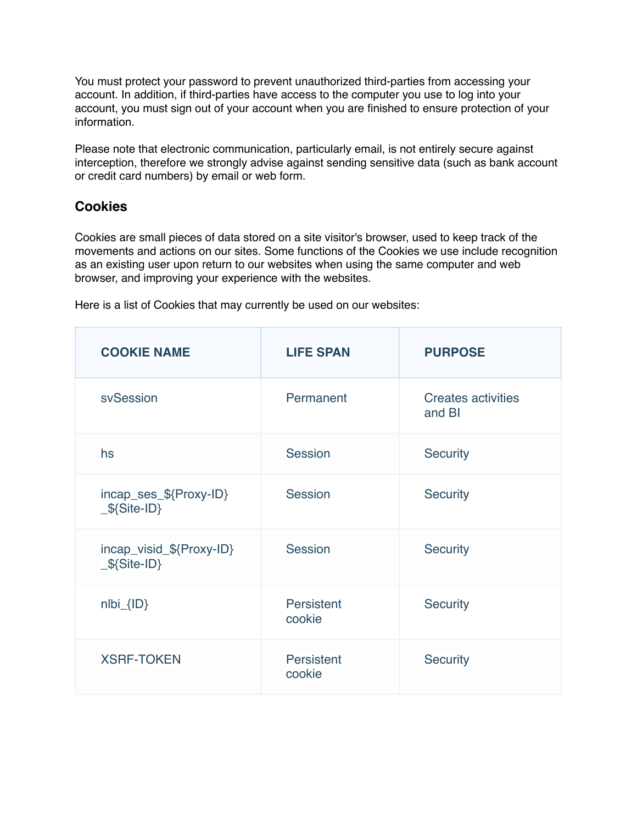You must protect your password to prevent unauthorized third-parties from accessing your account. In addition, if third-parties have access to the computer you use to log into your account, you must sign out of your account when you are finished to ensure protection of your information.

Please note that electronic communication, particularly email, is not entirely secure against interception, therefore we strongly advise against sending sensitive data (such as bank account or credit card numbers) by email or web form.

# **Cookies**

Cookies are small pieces of data stored on a site visitor's browser, used to keep track of the movements and actions on our sites. Some functions of the Cookies we use include recognition as an existing user upon return to our websites when using the same computer and web browser, and improving your experience with the websites.

| <b>COOKIE NAME</b>                        | <b>LIFE SPAN</b>     | <b>PURPOSE</b>                      |
|-------------------------------------------|----------------------|-------------------------------------|
| svSession                                 | Permanent            | <b>Creates activities</b><br>and BI |
| hs                                        | Session              | <b>Security</b>                     |
| incap_ses_\${Proxy-ID}<br>$$\$$ {Site-ID} | Session              | <b>Security</b>                     |
| incap_visid_\${Proxy-ID}<br>$$$ {Site-ID} | Session              | <b>Security</b>                     |
| $nIbi_{IID}$                              | Persistent<br>cookie | <b>Security</b>                     |
| <b>XSRF-TOKEN</b>                         | Persistent<br>cookie | <b>Security</b>                     |

Here is a list of Cookies that may currently be used on our websites: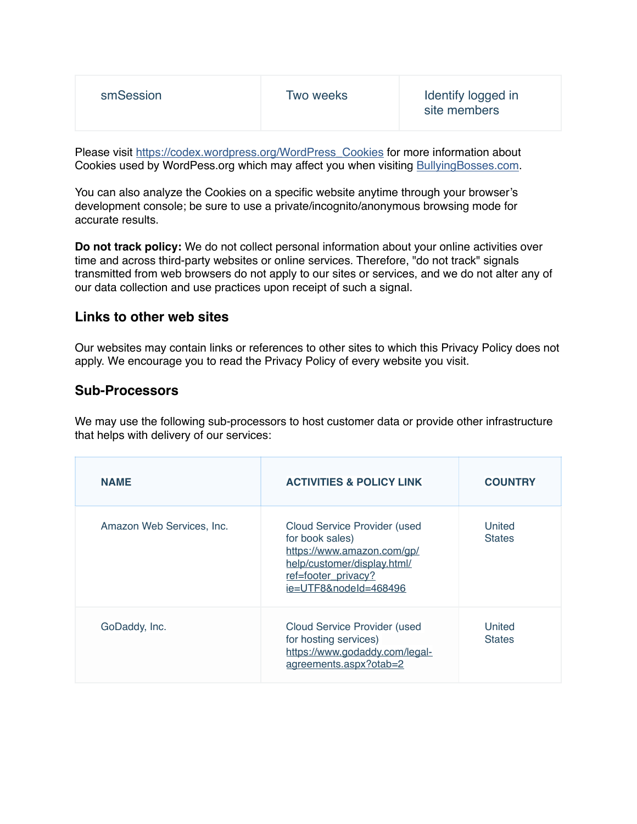| smSession | Two weeks | Identify logged in<br>site members |
|-----------|-----------|------------------------------------|
|-----------|-----------|------------------------------------|

Please visit [https://codex.wordpress.org/WordPress\\_Cookies](https://codex.wordpress.org/WordPress_Cookies) for more information about Cookies used by WordPess.org which may affect you when visiting [BullyingBosses.com.](http://BullyingBosses.com)

You can also analyze the Cookies on a specific website anytime through your browser's development console; be sure to use a private/incognito/anonymous browsing mode for accurate results.

**Do not track policy:** We do not collect personal information about your online activities over time and across third-party websites or online services. Therefore, "do not track" signals transmitted from web browsers do not apply to our sites or services, and we do not alter any of our data collection and use practices upon receipt of such a signal.

### **Links to other web sites**

Our websites may contain links or references to other sites to which this Privacy Policy does not apply. We encourage you to read the Privacy Policy of every website you visit.

#### **Sub-Processors**

We may use the following sub-processors to host customer data or provide other infrastructure that helps with delivery of our services:

| <b>NAME</b>               | <b>ACTIVITIES &amp; POLICY LINK</b>                                                                                                                                 | <b>COUNTRY</b>          |
|---------------------------|---------------------------------------------------------------------------------------------------------------------------------------------------------------------|-------------------------|
| Amazon Web Services, Inc. | <b>Cloud Service Provider (used</b><br>for book sales)<br>https://www.amazon.com/gp/<br>help/customer/display.html/<br>ref=footer_privacy?<br>ie=UTF8&nodeId=468496 | United<br><b>States</b> |
| GoDaddy, Inc.             | <b>Cloud Service Provider (used</b><br>for hosting services)<br>https://www.godaddy.com/legal-<br>agreements.aspx?otab=2                                            | United<br><b>States</b> |